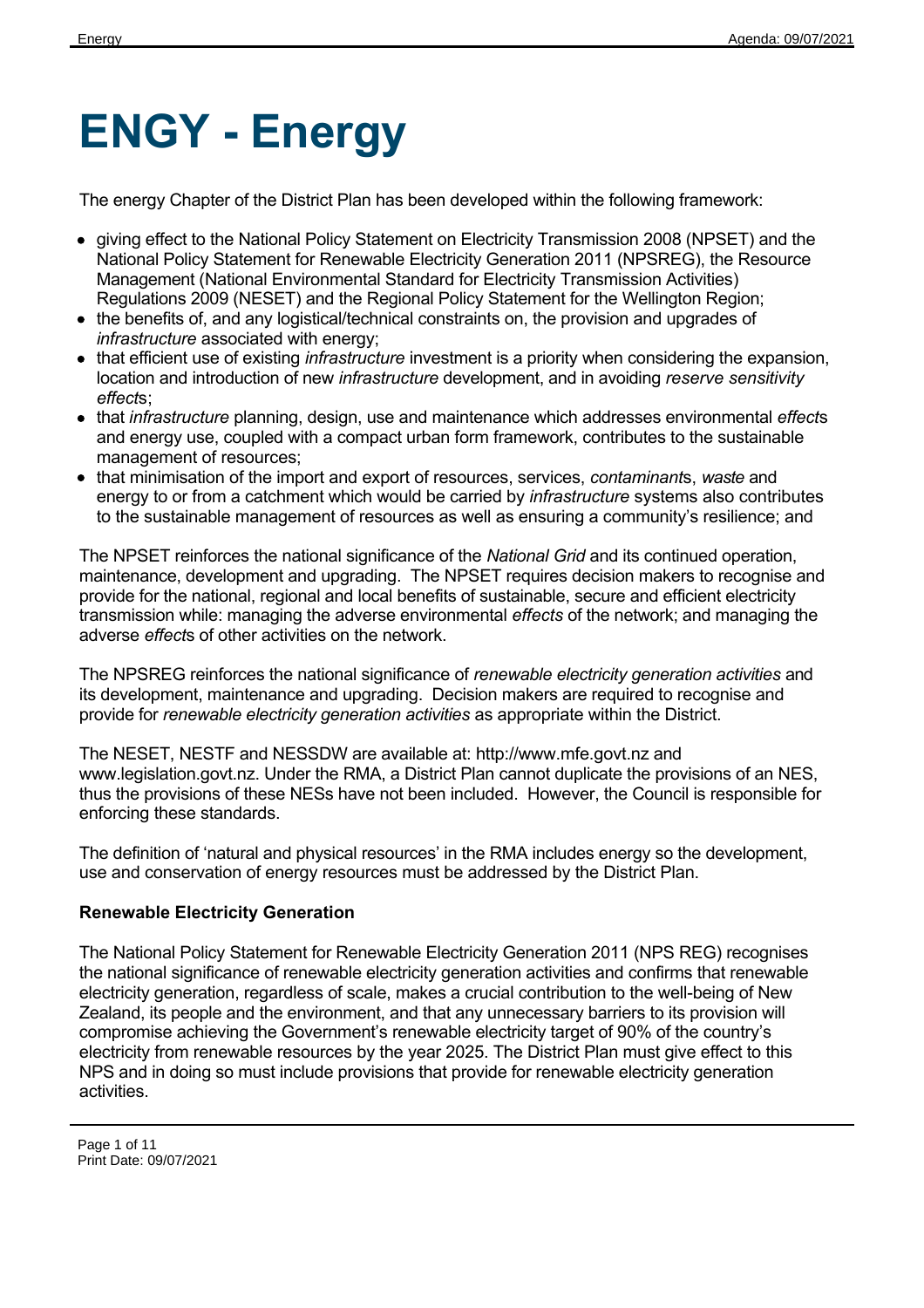# **ENGY - Energy**

The energy Chapter of the District Plan has been developed within the following framework:

- giving effect to the National Policy Statement on Electricity Transmission 2008 (NPSET) and the National Policy Statement for Renewable Electricity Generation 2011 (NPSREG), the Resource Management (National Environmental Standard for Electricity Transmission Activities) Regulations 2009 (NESET) and the Regional Policy Statement for the Wellington Region;
- the benefits of, and any logistical/technical constraints on, the provision and upgrades of *infrastructure* associated with energy;
- that efficient use of existing *infrastructure* investment is a priority when considering the expansion, location and introduction of new *infrastructure* development, and in avoiding *reserve sensitivity effect*s;
- that *infrastructure* planning, design, use and maintenance which addresses environmental *effect*s and energy use, coupled with a compact urban form framework, contributes to the sustainable management of resources;
- that minimisation of the import and export of resources, services, *contaminant*s, *waste* and energy to or from a catchment which would be carried by *infrastructure* systems also contributes to the sustainable management of resources as well as ensuring a community's resilience; and

The NPSET reinforces the national significance of the *National Grid* and its continued operation, maintenance, development and upgrading. The NPSET requires decision makers to recognise and provide for the national, regional and local benefits of sustainable, secure and efficient electricity transmission while: managing the adverse environmental *effects* of the network; and managing the adverse *effect*s of other activities on the network.

The NPSREG reinforces the national significance of *renewable electricity generation activities* and its development, maintenance and upgrading. Decision makers are required to recognise and provide for *renewable electricity generation activities* as appropriate within the District.

The NESET, NESTF and NESSDW are available at: http://www.mfe.govt.nz and www.legislation.govt.nz. Under the RMA, a District Plan cannot duplicate the provisions of an NES, thus the provisions of these NESs have not been included. However, the Council is responsible for enforcing these standards.

The definition of 'natural and physical resources' in the RMA includes energy so the development, use and conservation of energy resources must be addressed by the District Plan.

## **Renewable Electricity Generation**

The National Policy Statement for Renewable Electricity Generation 2011 (NPS REG) recognises the national significance of renewable electricity generation activities and confirms that renewable electricity generation, regardless of scale, makes a crucial contribution to the well-being of New Zealand, its people and the environment, and that any unnecessary barriers to its provision will compromise achieving the Government's renewable electricity target of 90% of the country's electricity from renewable resources by the year 2025. The District Plan must give effect to this NPS and in doing so must include provisions that provide for renewable electricity generation activities.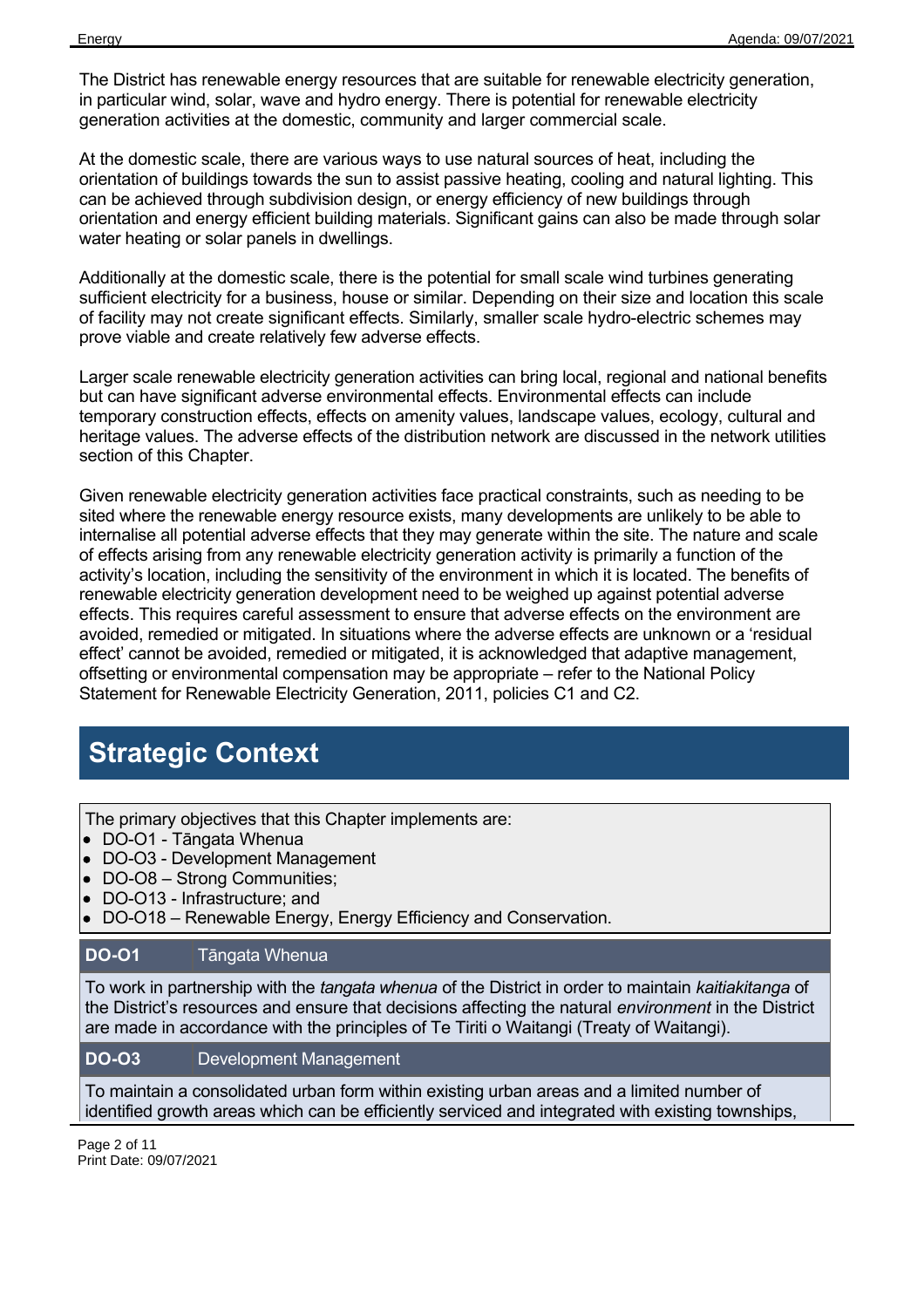The District has renewable energy resources that are suitable for renewable electricity generation, in particular wind, solar, wave and hydro energy. There is potential for renewable electricity generation activities at the domestic, community and larger commercial scale.

At the domestic scale, there are various ways to use natural sources of heat, including the orientation of buildings towards the sun to assist passive heating, cooling and natural lighting. This can be achieved through subdivision design, or energy efficiency of new buildings through orientation and energy efficient building materials. Significant gains can also be made through solar water heating or solar panels in dwellings.

Additionally at the domestic scale, there is the potential for small scale wind turbines generating sufficient electricity for a business, house or similar. Depending on their size and location this scale of facility may not create significant effects. Similarly, smaller scale hydro-electric schemes may prove viable and create relatively few adverse effects.

Larger scale renewable electricity generation activities can bring local, regional and national benefits but can have significant adverse environmental effects. Environmental effects can include temporary construction effects, effects on amenity values, landscape values, ecology, cultural and heritage values. The adverse effects of the distribution network are discussed in the network utilities section of this Chapter.

Given renewable electricity generation activities face practical constraints, such as needing to be sited where the renewable energy resource exists, many developments are unlikely to be able to internalise all potential adverse effects that they may generate within the site. The nature and scale of effects arising from any renewable electricity generation activity is primarily a function of the activity's location, including the sensitivity of the environment in which it is located. The benefits of renewable electricity generation development need to be weighed up against potential adverse effects. This requires careful assessment to ensure that adverse effects on the environment are avoided, remedied or mitigated. In situations where the adverse effects are unknown or a 'residual effect' cannot be avoided, remedied or mitigated, it is acknowledged that adaptive management, offsetting or environmental compensation may be appropriate – refer to the National Policy Statement for Renewable Electricity Generation, 2011, policies C1 and C2.

# **Strategic Context**

The primary objectives that this Chapter implements are:

- DO-O1 Tāngata Whenua
- DO-O3 Development Management
- DO-O8 Strong Communities;
- DO-O13 Infrastructure; and
- DO-O18 Renewable Energy, Energy Efficiency and Conservation.

#### **DO-O1** Tāngata Whenua

To work in partnership with the *tangata whenua* of the District in order to maintain *kaitiakitanga* of the District's resources and ensure that decisions affecting the natural *environment* in the District are made in accordance with the principles of Te Tiriti o Waitangi (Treaty of Waitangi).

#### **DO-O3** Development Management

To maintain a consolidated urban form within existing urban areas and a limited number of identified growth areas which can be efficiently serviced and integrated with existing townships,

Page 2 of 11 Print Date: 09/07/2021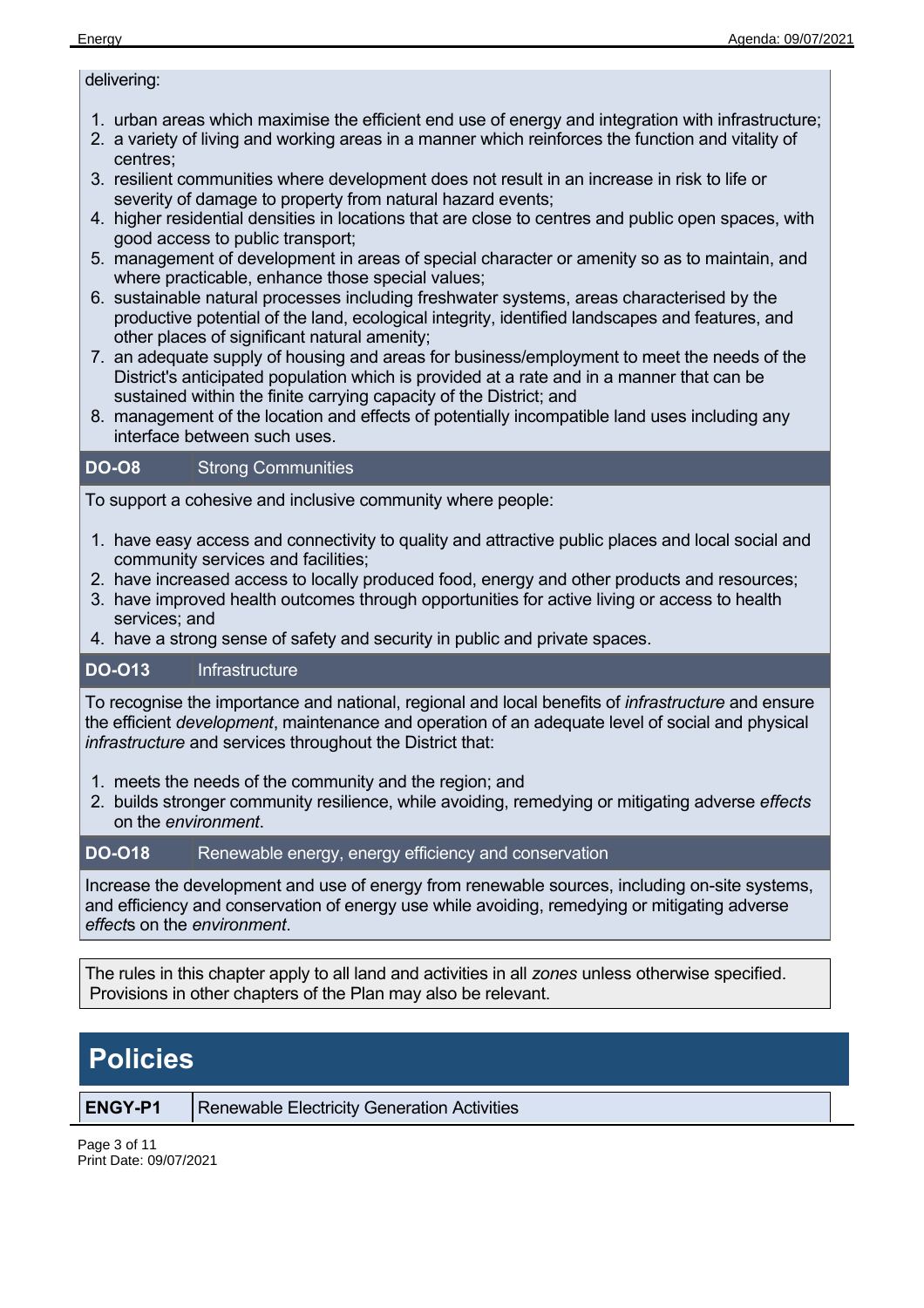#### delivering:

- 1. urban areas which maximise the efficient end use of energy and integration with infrastructure;
- 2. a variety of living and working areas in a manner which reinforces the function and vitality of centres;
- 3. resilient communities where development does not result in an increase in risk to life or severity of damage to property from natural hazard events;
- 4. higher residential densities in locations that are close to centres and public open spaces, with good access to public transport;
- 5. management of development in areas of special character or amenity so as to maintain, and where practicable, enhance those special values;
- 6. sustainable natural processes including freshwater systems, areas characterised by the productive potential of the land, ecological integrity, identified landscapes and features, and other places of significant natural amenity;
- 7. an adequate supply of housing and areas for business/employment to meet the needs of the District's anticipated population which is provided at a rate and in a manner that can be sustained within the finite carrying capacity of the District; and
- 8. management of the location and effects of potentially incompatible land uses including any interface between such uses.

## **DO-O8** Strong Communities

To support a cohesive and inclusive community where people:

- 1. have easy access and connectivity to quality and attractive public places and local social and community services and facilities;
- 2. have increased access to locally produced food, energy and other products and resources;
- 3. have improved health outcomes through opportunities for active living or access to health services; and
- 4. have a strong sense of safety and security in public and private spaces.

## **DO-O13** Infrastructure

To recognise the importance and national, regional and local benefits of *infrastructure* and ensure the efficient *development*, maintenance and operation of an adequate level of social and physical *infrastructure* and services throughout the District that:

- 1. meets the needs of the community and the region; and
- 2. builds stronger community resilience, while avoiding, remedying or mitigating adverse *effects* on the *environment*.

#### **DO-O18** Renewable energy, energy efficiency and conservation

Increase the development and use of energy from renewable sources, including on-site systems, and efficiency and conservation of energy use while avoiding, remedying or mitigating adverse *effect*s on the *environment*.

The rules in this chapter apply to all land and activities in all *zones* unless otherwise specified. Provisions in other chapters of the Plan may also be relevant.

# **Policies**

**ENGY-P1** | Renewable Electricity Generation Activities

Page 3 of 11 Print Date: 09/07/2021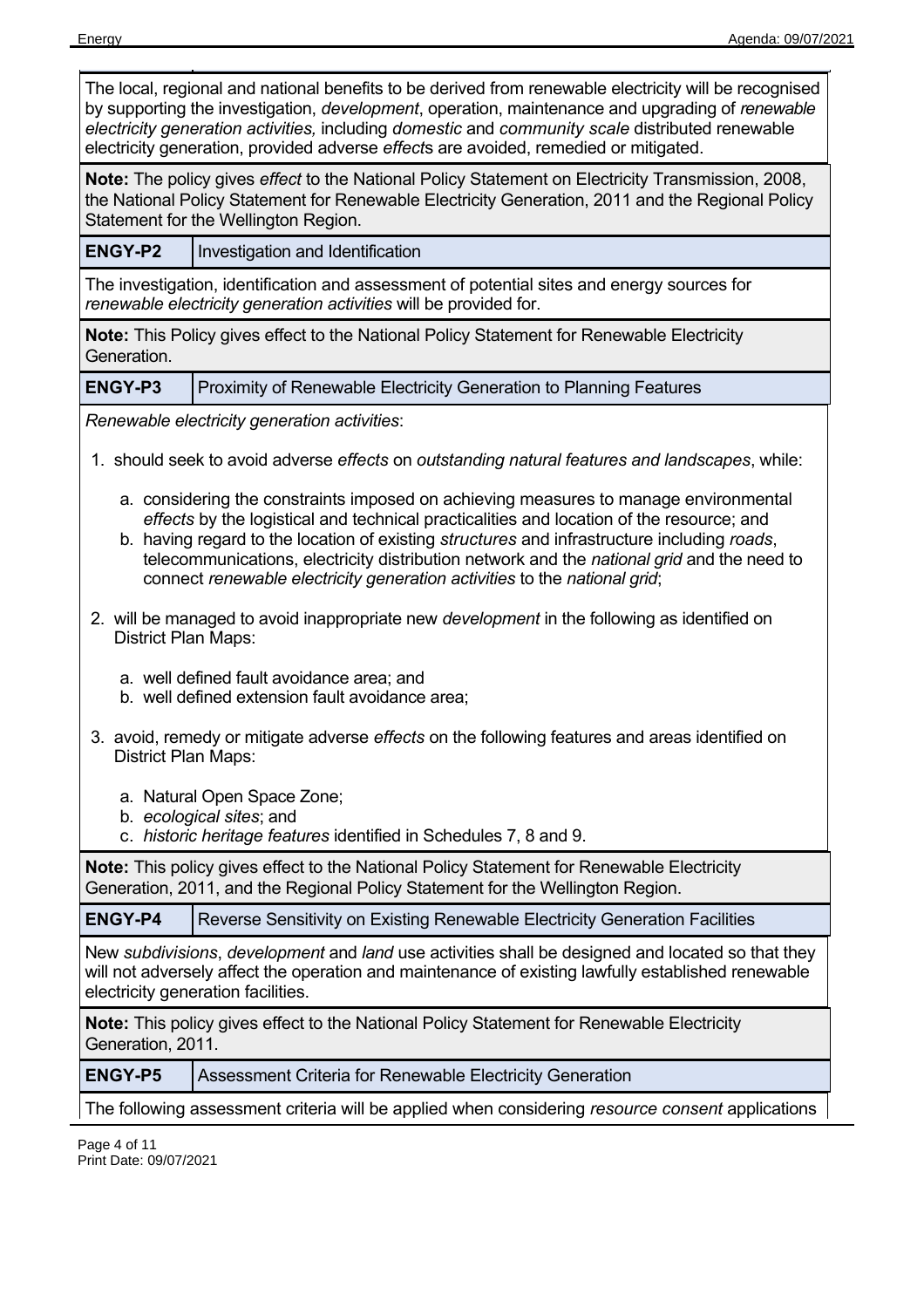| The local, regional and national benefits to be derived from renewable electricity will be recognised<br>by supporting the investigation, <i>development</i> , operation, maintenance and upgrading of renewable<br>electricity generation activities, including domestic and community scale distributed renewable<br>electricity generation, provided adverse effects are avoided, remedied or mitigated. |                                                                                                                                                                                                                                                                                                                                                                                                                                                            |
|-------------------------------------------------------------------------------------------------------------------------------------------------------------------------------------------------------------------------------------------------------------------------------------------------------------------------------------------------------------------------------------------------------------|------------------------------------------------------------------------------------------------------------------------------------------------------------------------------------------------------------------------------------------------------------------------------------------------------------------------------------------------------------------------------------------------------------------------------------------------------------|
|                                                                                                                                                                                                                                                                                                                                                                                                             | Note: The policy gives effect to the National Policy Statement on Electricity Transmission, 2008,<br>the National Policy Statement for Renewable Electricity Generation, 2011 and the Regional Policy<br>Statement for the Wellington Region.                                                                                                                                                                                                              |
| <b>ENGY-P2</b>                                                                                                                                                                                                                                                                                                                                                                                              | Investigation and Identification                                                                                                                                                                                                                                                                                                                                                                                                                           |
|                                                                                                                                                                                                                                                                                                                                                                                                             | The investigation, identification and assessment of potential sites and energy sources for<br>renewable electricity generation activities will be provided for.                                                                                                                                                                                                                                                                                            |
| Generation.                                                                                                                                                                                                                                                                                                                                                                                                 | <b>Note:</b> This Policy gives effect to the National Policy Statement for Renewable Electricity                                                                                                                                                                                                                                                                                                                                                           |
| <b>ENGY-P3</b>                                                                                                                                                                                                                                                                                                                                                                                              | Proximity of Renewable Electricity Generation to Planning Features                                                                                                                                                                                                                                                                                                                                                                                         |
|                                                                                                                                                                                                                                                                                                                                                                                                             | Renewable electricity generation activities:                                                                                                                                                                                                                                                                                                                                                                                                               |
|                                                                                                                                                                                                                                                                                                                                                                                                             | 1. should seek to avoid adverse effects on outstanding natural features and landscapes, while:                                                                                                                                                                                                                                                                                                                                                             |
|                                                                                                                                                                                                                                                                                                                                                                                                             | a. considering the constraints imposed on achieving measures to manage environmental<br>effects by the logistical and technical practicalities and location of the resource; and<br>b. having regard to the location of existing structures and infrastructure including roads,<br>telecommunications, electricity distribution network and the national grid and the need to<br>connect renewable electricity generation activities to the national grid; |
| District Plan Maps:                                                                                                                                                                                                                                                                                                                                                                                         | 2. will be managed to avoid inappropriate new <i>development</i> in the following as identified on                                                                                                                                                                                                                                                                                                                                                         |
|                                                                                                                                                                                                                                                                                                                                                                                                             | a. well defined fault avoidance area; and<br>b. well defined extension fault avoidance area;                                                                                                                                                                                                                                                                                                                                                               |
| District Plan Maps:                                                                                                                                                                                                                                                                                                                                                                                         | 3. avoid, remedy or mitigate adverse effects on the following features and areas identified on                                                                                                                                                                                                                                                                                                                                                             |
|                                                                                                                                                                                                                                                                                                                                                                                                             | a. Natural Open Space Zone;<br>b. ecological sites; and<br>c. historic heritage features identified in Schedules 7, 8 and 9.                                                                                                                                                                                                                                                                                                                               |
|                                                                                                                                                                                                                                                                                                                                                                                                             | <b>Note:</b> This policy gives effect to the National Policy Statement for Renewable Electricity<br>Generation, 2011, and the Regional Policy Statement for the Wellington Region.                                                                                                                                                                                                                                                                         |
| <b>ENGY-P4</b>                                                                                                                                                                                                                                                                                                                                                                                              | Reverse Sensitivity on Existing Renewable Electricity Generation Facilities                                                                                                                                                                                                                                                                                                                                                                                |
|                                                                                                                                                                                                                                                                                                                                                                                                             | New subdivisions, development and land use activities shall be designed and located so that they<br>will not adversely affect the operation and maintenance of existing lawfully established renewable<br>electricity generation facilities.                                                                                                                                                                                                               |
| Note: This policy gives effect to the National Policy Statement for Renewable Electricity<br>Generation, 2011.                                                                                                                                                                                                                                                                                              |                                                                                                                                                                                                                                                                                                                                                                                                                                                            |
| <b>ENGY-P5</b>                                                                                                                                                                                                                                                                                                                                                                                              | Assessment Criteria for Renewable Electricity Generation                                                                                                                                                                                                                                                                                                                                                                                                   |
|                                                                                                                                                                                                                                                                                                                                                                                                             | The following assessment criteria will be applied when considering <i>resource consent</i> applications                                                                                                                                                                                                                                                                                                                                                    |
|                                                                                                                                                                                                                                                                                                                                                                                                             |                                                                                                                                                                                                                                                                                                                                                                                                                                                            |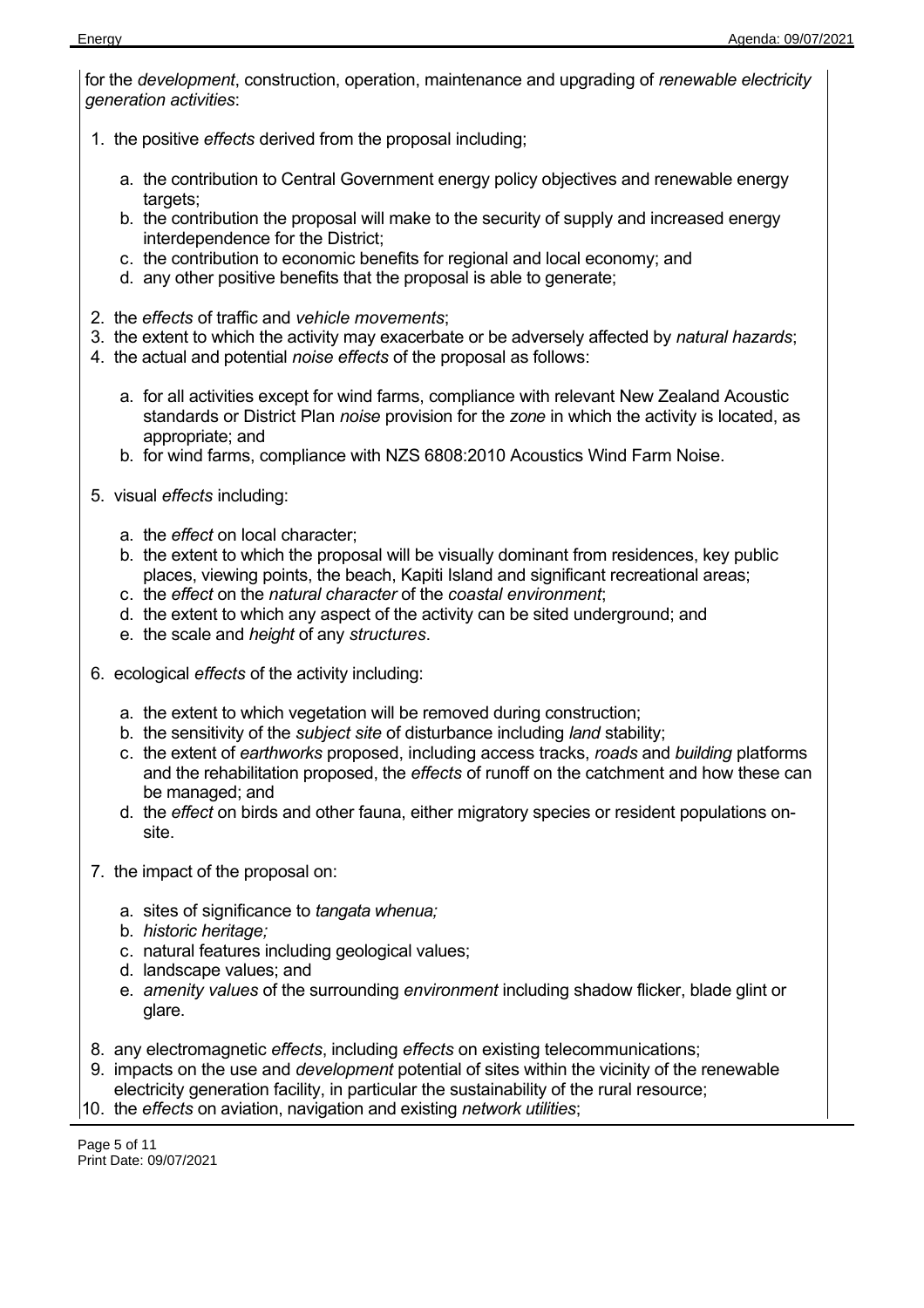for the *development*, construction, operation, maintenance and upgrading of *renewable electricity generation activities*:

- 1. the positive *effects* derived from the proposal including;
	- a. the contribution to Central Government energy policy objectives and renewable energy targets;
	- b. the contribution the proposal will make to the security of supply and increased energy interdependence for the District;
	- c. the contribution to economic benefits for regional and local economy; and
	- d. any other positive benefits that the proposal is able to generate;
- 2. the *effects* of traffic and *vehicle movements*;
- 3. the extent to which the activity may exacerbate or be adversely affected by *natural hazards*;
- 4. the actual and potential *noise effects* of the proposal as follows:
	- a. for all activities except for wind farms, compliance with relevant New Zealand Acoustic standards or District Plan *noise* provision for the *zone* in which the activity is located, as appropriate; and
	- b. for wind farms, compliance with NZS 6808:2010 Acoustics Wind Farm Noise.
- 5. visual *effects* including:
	- a. the *effect* on local character;
	- b. the extent to which the proposal will be visually dominant from residences, key public places, viewing points, the beach, Kapiti Island and significant recreational areas;
	- c. the *effect* on the *natural character* of the *coastal environment*;
	- d. the extent to which any aspect of the activity can be sited underground; and
	- e. the scale and *height* of any *structures*.
- 6. ecological *effects* of the activity including:
	- a. the extent to which vegetation will be removed during construction;
	- b. the sensitivity of the *subject site* of disturbance including *land* stability;
	- c. the extent of *earthworks* proposed, including access tracks, *roads* and *building* platforms and the rehabilitation proposed, the *effects* of runoff on the catchment and how these can be managed; and
	- d. the *effect* on birds and other fauna, either migratory species or resident populations onsite.
- 7. the impact of the proposal on:
	- a. sites of significance to *tangata whenua;*
	- b. *historic heritage;*
	- c. natural features including geological values;
	- d. landscape values; and
	- e. *amenity values* of the surrounding *environment* including shadow flicker, blade glint or glare.
- 8. any electromagnetic *effects*, including *effects* on existing telecommunications;
- 9. impacts on the use and *development* potential of sites within the vicinity of the renewable electricity generation facility, in particular the sustainability of the rural resource;
- 10. the *effects* on aviation, navigation and existing *network utilities*;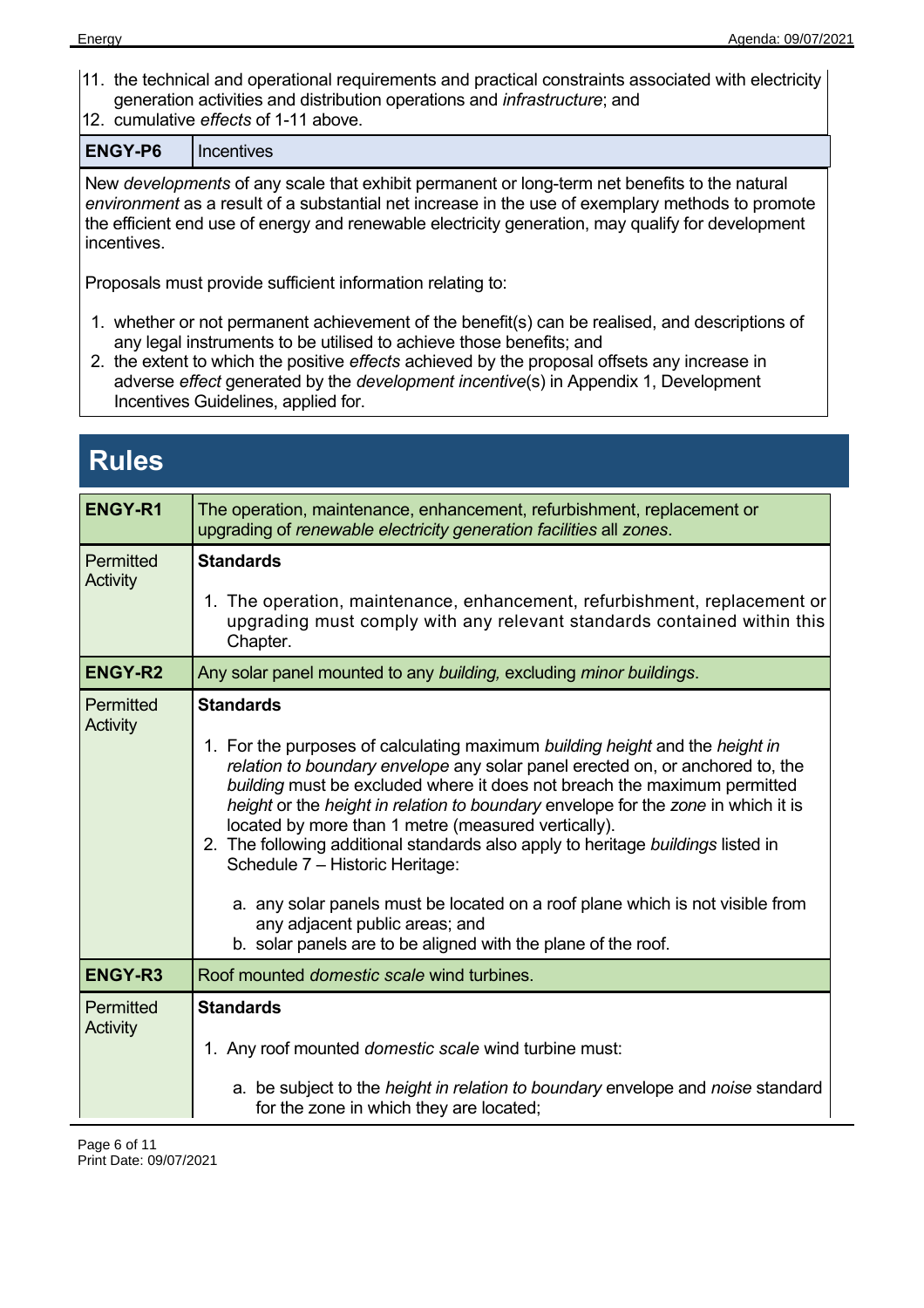- 11. the technical and operational requirements and practical constraints associated with electricity generation activities and distribution operations and *infrastructure*; and
- 12. cumulative *effects* of 1-11 above.

**ENGY-P6** Incentives

New *developments* of any scale that exhibit permanent or long-term net benefits to the natural *environment* as a result of a substantial net increase in the use of exemplary methods to promote the efficient end use of energy and renewable electricity generation, may qualify for development incentives.

Proposals must provide sufficient information relating to:

- 1. whether or not permanent achievement of the benefit(s) can be realised, and descriptions of any legal instruments to be utilised to achieve those benefits; and
- 2. the extent to which the positive *effects* achieved by the proposal offsets any increase in adverse *effect* generated by the *development incentive*(s) in Appendix 1, Development Incentives Guidelines, applied for.

| <b>Rules</b>                 |                                                                                                                                                                                                                                                                                                                                                                                                                                                                                                                                                                                                                                                                                                                      |  |
|------------------------------|----------------------------------------------------------------------------------------------------------------------------------------------------------------------------------------------------------------------------------------------------------------------------------------------------------------------------------------------------------------------------------------------------------------------------------------------------------------------------------------------------------------------------------------------------------------------------------------------------------------------------------------------------------------------------------------------------------------------|--|
| <b>ENGY-R1</b>               | The operation, maintenance, enhancement, refurbishment, replacement or<br>upgrading of renewable electricity generation facilities all zones.                                                                                                                                                                                                                                                                                                                                                                                                                                                                                                                                                                        |  |
| Permitted<br><b>Activity</b> | <b>Standards</b><br>1. The operation, maintenance, enhancement, refurbishment, replacement or<br>upgrading must comply with any relevant standards contained within this<br>Chapter.                                                                                                                                                                                                                                                                                                                                                                                                                                                                                                                                 |  |
| <b>ENGY-R2</b>               | Any solar panel mounted to any building, excluding minor buildings.                                                                                                                                                                                                                                                                                                                                                                                                                                                                                                                                                                                                                                                  |  |
| Permitted<br><b>Activity</b> | <b>Standards</b><br>1. For the purposes of calculating maximum building height and the height in<br>relation to boundary envelope any solar panel erected on, or anchored to, the<br>building must be excluded where it does not breach the maximum permitted<br>height or the height in relation to boundary envelope for the zone in which it is<br>located by more than 1 metre (measured vertically).<br>2. The following additional standards also apply to heritage buildings listed in<br>Schedule 7 - Historic Heritage:<br>a. any solar panels must be located on a roof plane which is not visible from<br>any adjacent public areas; and<br>b. solar panels are to be aligned with the plane of the roof. |  |
| <b>ENGY-R3</b>               | Roof mounted <i>domestic</i> scale wind turbines.                                                                                                                                                                                                                                                                                                                                                                                                                                                                                                                                                                                                                                                                    |  |
| Permitted<br><b>Activity</b> | <b>Standards</b><br>1. Any roof mounted <i>domestic scale</i> wind turbine must:<br>a. be subject to the <i>height in relation to boundary</i> envelope and <i>noise</i> standard                                                                                                                                                                                                                                                                                                                                                                                                                                                                                                                                    |  |
|                              | for the zone in which they are located;                                                                                                                                                                                                                                                                                                                                                                                                                                                                                                                                                                                                                                                                              |  |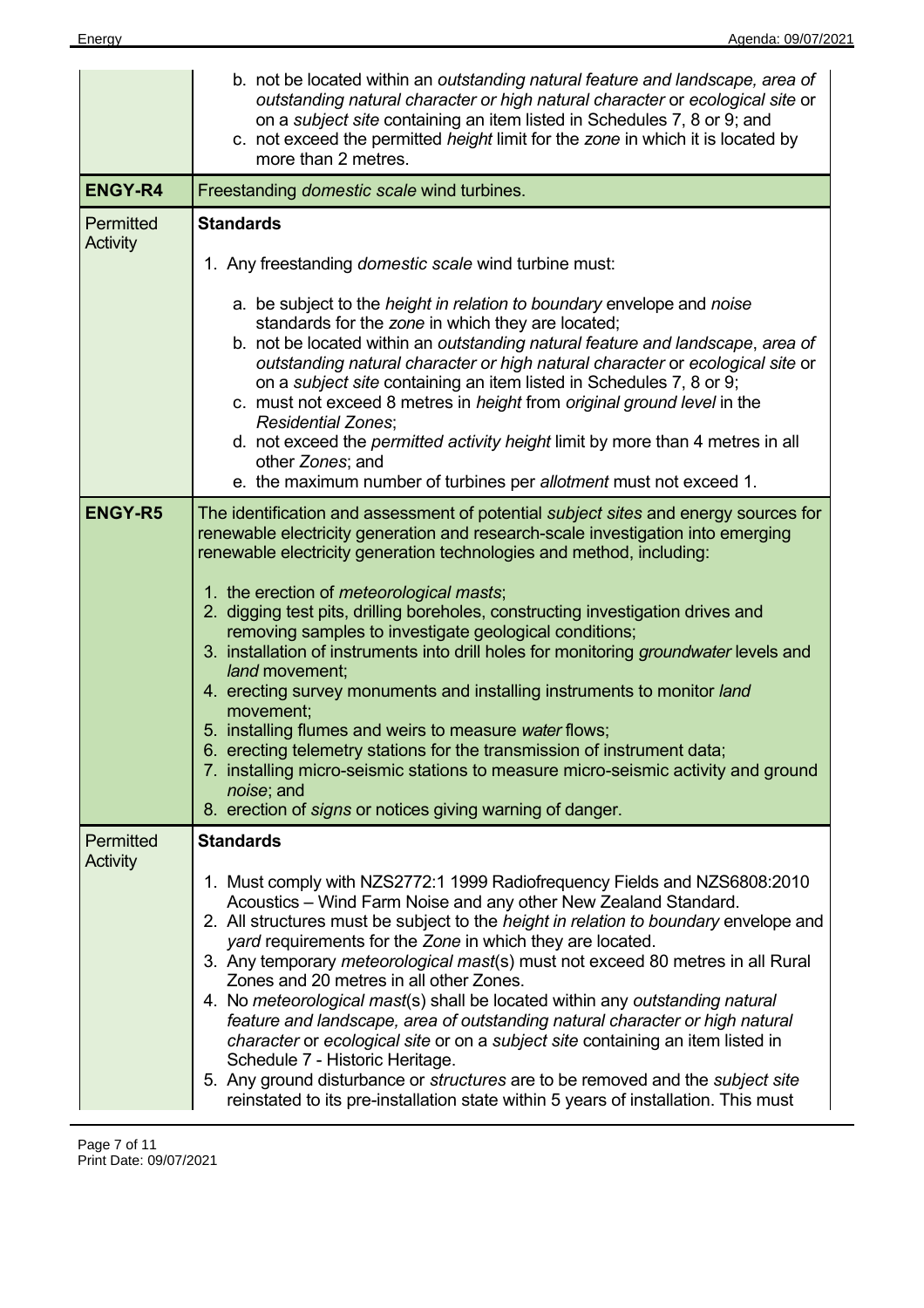|                 | b. not be located within an outstanding natural feature and landscape, area of<br>outstanding natural character or high natural character or ecological site or<br>on a <i>subject site</i> containing an item listed in Schedules 7, 8 or 9; and<br>c. not exceed the permitted height limit for the zone in which it is located by<br>more than 2 metres.                                                                                                                                                                                                                                                                                                                                                                                                                                                                                                                                                                                                    |
|-----------------|----------------------------------------------------------------------------------------------------------------------------------------------------------------------------------------------------------------------------------------------------------------------------------------------------------------------------------------------------------------------------------------------------------------------------------------------------------------------------------------------------------------------------------------------------------------------------------------------------------------------------------------------------------------------------------------------------------------------------------------------------------------------------------------------------------------------------------------------------------------------------------------------------------------------------------------------------------------|
| <b>ENGY-R4</b>  | Freestanding domestic scale wind turbines.                                                                                                                                                                                                                                                                                                                                                                                                                                                                                                                                                                                                                                                                                                                                                                                                                                                                                                                     |
| Permitted       | <b>Standards</b>                                                                                                                                                                                                                                                                                                                                                                                                                                                                                                                                                                                                                                                                                                                                                                                                                                                                                                                                               |
| <b>Activity</b> | 1. Any freestanding domestic scale wind turbine must:                                                                                                                                                                                                                                                                                                                                                                                                                                                                                                                                                                                                                                                                                                                                                                                                                                                                                                          |
|                 | a. be subject to the <i>height in relation to boundary</i> envelope and <i>noise</i><br>standards for the zone in which they are located;<br>b. not be located within an outstanding natural feature and landscape, area of<br>outstanding natural character or high natural character or ecological site or<br>on a <i>subject site</i> containing an item listed in Schedules 7, 8 or 9;<br>c. must not exceed 8 metres in height from original ground level in the<br><b>Residential Zones:</b><br>d. not exceed the permitted activity height limit by more than 4 metres in all<br>other Zones; and                                                                                                                                                                                                                                                                                                                                                       |
|                 | e. the maximum number of turbines per allotment must not exceed 1.                                                                                                                                                                                                                                                                                                                                                                                                                                                                                                                                                                                                                                                                                                                                                                                                                                                                                             |
| <b>ENGY-R5</b>  | The identification and assessment of potential <i>subject sites</i> and energy sources for<br>renewable electricity generation and research-scale investigation into emerging<br>renewable electricity generation technologies and method, including:<br>1. the erection of <i>meteorological masts</i> ;<br>2. digging test pits, drilling boreholes, constructing investigation drives and<br>removing samples to investigate geological conditions;<br>3. installation of instruments into drill holes for monitoring groundwater levels and<br>land movement:<br>4. erecting survey monuments and installing instruments to monitor land<br>movement;<br>5. installing flumes and weirs to measure water flows;<br>6. erecting telemetry stations for the transmission of instrument data;<br>7. installing micro-seismic stations to measure micro-seismic activity and ground<br>noise; and<br>8. erection of signs or notices giving warning of danger. |
| Permitted       | <b>Standards</b>                                                                                                                                                                                                                                                                                                                                                                                                                                                                                                                                                                                                                                                                                                                                                                                                                                                                                                                                               |
| <b>Activity</b> | 1. Must comply with NZS2772:1 1999 Radiofrequency Fields and NZS6808:2010<br>Acoustics - Wind Farm Noise and any other New Zealand Standard.<br>2. All structures must be subject to the <i>height in relation to boundary</i> envelope and<br>yard requirements for the Zone in which they are located.<br>3. Any temporary <i>meteorological mast</i> (s) must not exceed 80 metres in all Rural<br>Zones and 20 metres in all other Zones.<br>4. No meteorological mast(s) shall be located within any outstanding natural<br>feature and landscape, area of outstanding natural character or high natural<br>character or ecological site or on a subject site containing an item listed in<br>Schedule 7 - Historic Heritage.<br>5. Any ground disturbance or structures are to be removed and the subject site<br>reinstated to its pre-installation state within 5 years of installation. This must                                                     |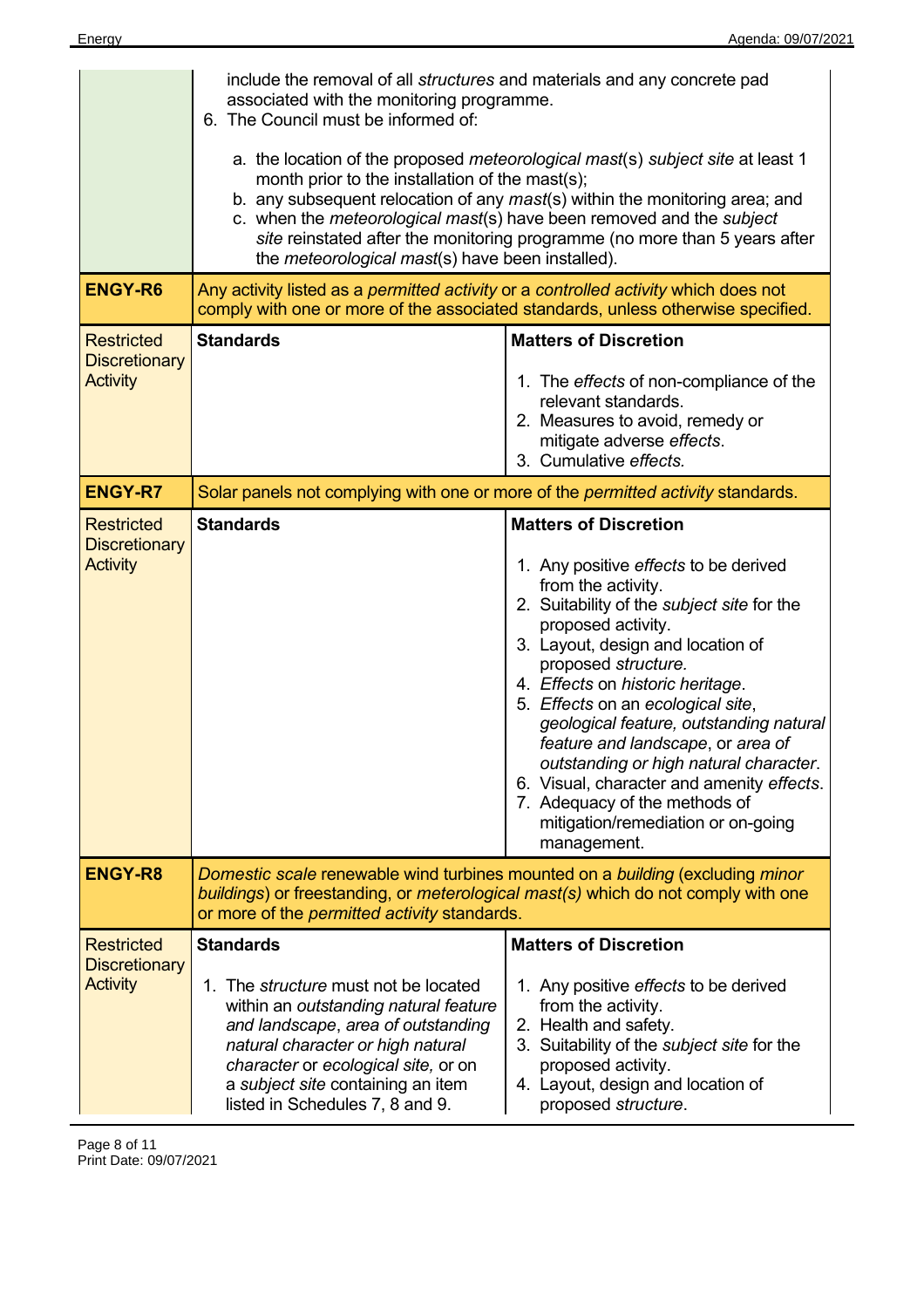|                                                              | include the removal of all structures and materials and any concrete pad<br>associated with the monitoring programme.<br>6. The Council must be informed of:<br>a. the location of the proposed meteorological mast(s) subject site at least 1<br>month prior to the installation of the mast(s);<br>b. any subsequent relocation of any mast(s) within the monitoring area; and<br>c. when the meteorological mast(s) have been removed and the subject<br>site reinstated after the monitoring programme (no more than 5 years after<br>the <i>meteorological mast(s)</i> have been installed). |                                                                                                                                                                                                                                                                                                                                                                                                                                                                                                                                                                   |
|--------------------------------------------------------------|---------------------------------------------------------------------------------------------------------------------------------------------------------------------------------------------------------------------------------------------------------------------------------------------------------------------------------------------------------------------------------------------------------------------------------------------------------------------------------------------------------------------------------------------------------------------------------------------------|-------------------------------------------------------------------------------------------------------------------------------------------------------------------------------------------------------------------------------------------------------------------------------------------------------------------------------------------------------------------------------------------------------------------------------------------------------------------------------------------------------------------------------------------------------------------|
| <b>ENGY-R6</b>                                               | Any activity listed as a permitted activity or a controlled activity which does not<br>comply with one or more of the associated standards, unless otherwise specified.                                                                                                                                                                                                                                                                                                                                                                                                                           |                                                                                                                                                                                                                                                                                                                                                                                                                                                                                                                                                                   |
| <b>Restricted</b><br><b>Discretionary</b><br><b>Activity</b> | <b>Standards</b>                                                                                                                                                                                                                                                                                                                                                                                                                                                                                                                                                                                  | <b>Matters of Discretion</b><br>1. The effects of non-compliance of the<br>relevant standards.<br>2. Measures to avoid, remedy or<br>mitigate adverse effects.<br>3. Cumulative effects.                                                                                                                                                                                                                                                                                                                                                                          |
| <b>ENGY-R7</b>                                               | Solar panels not complying with one or more of the <i>permitted activity</i> standards.                                                                                                                                                                                                                                                                                                                                                                                                                                                                                                           |                                                                                                                                                                                                                                                                                                                                                                                                                                                                                                                                                                   |
| <b>Restricted</b><br><b>Discretionary</b><br><b>Activity</b> | <b>Standards</b>                                                                                                                                                                                                                                                                                                                                                                                                                                                                                                                                                                                  | <b>Matters of Discretion</b><br>1. Any positive effects to be derived<br>from the activity.<br>2. Suitability of the subject site for the<br>proposed activity.<br>3. Layout, design and location of<br>proposed structure.<br>4. Effects on historic heritage.<br>5. Effects on an ecological site,<br>geological feature, outstanding natural<br>feature and landscape, or area of<br>outstanding or high natural character.<br>6. Visual, character and amenity effects.<br>7. Adequacy of the methods of<br>mitigation/remediation or on-going<br>management. |
| <b>ENGY-R8</b>                                               | Domestic scale renewable wind turbines mounted on a building (excluding minor<br>buildings) or freestanding, or meterological mast(s) which do not comply with one<br>or more of the <i>permitted activity</i> standards.                                                                                                                                                                                                                                                                                                                                                                         |                                                                                                                                                                                                                                                                                                                                                                                                                                                                                                                                                                   |
| <b>Restricted</b><br><b>Discretionary</b><br><b>Activity</b> | <b>Standards</b><br>1. The <i>structure</i> must not be located<br>within an outstanding natural feature<br>and landscape, area of outstanding<br>natural character or high natural<br>character or ecological site, or on<br>a subject site containing an item<br>listed in Schedules 7, 8 and 9.                                                                                                                                                                                                                                                                                                | <b>Matters of Discretion</b><br>1. Any positive effects to be derived<br>from the activity.<br>2. Health and safety.<br>3. Suitability of the subject site for the<br>proposed activity.<br>4. Layout, design and location of<br>proposed structure.                                                                                                                                                                                                                                                                                                              |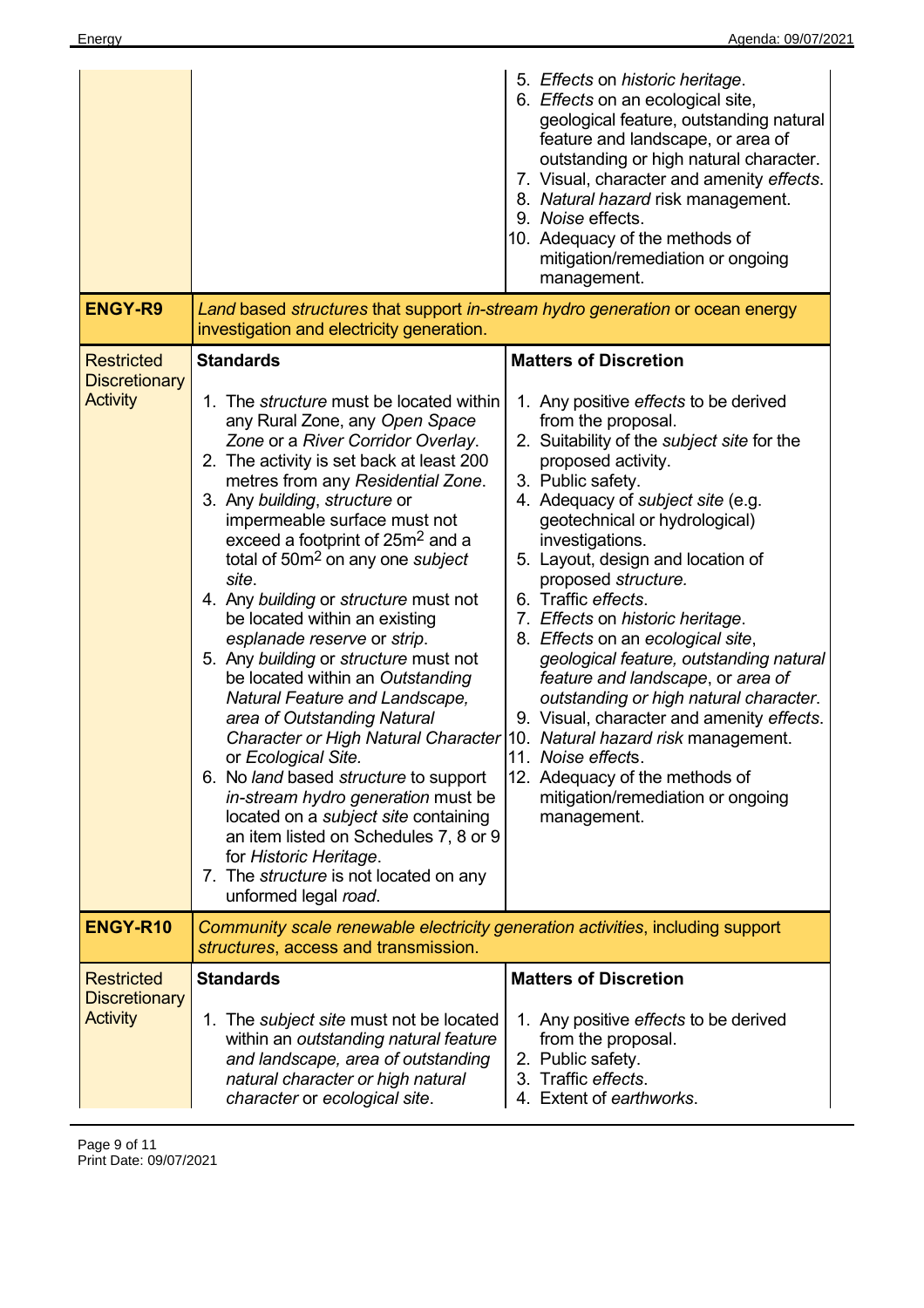| <b>ENGY-R9</b>                                               | Land based structures that support in-stream hydro generation or ocean energy                                                                                                                                                                                                                                                                                                                                                                                                                                                                                                                                                                                                                                                                                                               | 5. Effects on historic heritage.<br>6. Effects on an ecological site,<br>geological feature, outstanding natural<br>feature and landscape, or area of<br>outstanding or high natural character.<br>7. Visual, character and amenity effects.<br>8. Natural hazard risk management.<br>9. Noise effects.<br>10. Adequacy of the methods of<br>mitigation/remediation or ongoing<br>management.                                                                                                                                                                                                                                                                                                                               |
|--------------------------------------------------------------|---------------------------------------------------------------------------------------------------------------------------------------------------------------------------------------------------------------------------------------------------------------------------------------------------------------------------------------------------------------------------------------------------------------------------------------------------------------------------------------------------------------------------------------------------------------------------------------------------------------------------------------------------------------------------------------------------------------------------------------------------------------------------------------------|-----------------------------------------------------------------------------------------------------------------------------------------------------------------------------------------------------------------------------------------------------------------------------------------------------------------------------------------------------------------------------------------------------------------------------------------------------------------------------------------------------------------------------------------------------------------------------------------------------------------------------------------------------------------------------------------------------------------------------|
| <b>Restricted</b>                                            | investigation and electricity generation.<br><b>Standards</b>                                                                                                                                                                                                                                                                                                                                                                                                                                                                                                                                                                                                                                                                                                                               | <b>Matters of Discretion</b>                                                                                                                                                                                                                                                                                                                                                                                                                                                                                                                                                                                                                                                                                                |
| <b>Discretionary</b><br><b>Activity</b>                      | 1. The <i>structure</i> must be located within<br>any Rural Zone, any Open Space<br>Zone or a River Corridor Overlay.<br>2. The activity is set back at least 200<br>metres from any Residential Zone.<br>3. Any building, structure or<br>impermeable surface must not<br>exceed a footprint of 25m <sup>2</sup> and a<br>total of 50m <sup>2</sup> on any one <i>subject</i><br>site.<br>4. Any building or structure must not<br>be located within an existing<br>esplanade reserve or strip.<br>5. Any building or structure must not<br>be located within an Outstanding<br>Natural Feature and Landscape,<br>area of Outstanding Natural<br>Character or High Natural Character<br>or Ecological Site.<br>6. No land based structure to support<br>in-stream hydro generation must be | 1. Any positive effects to be derived<br>from the proposal.<br>2. Suitability of the subject site for the<br>proposed activity.<br>3. Public safety.<br>4. Adequacy of <i>subject site</i> (e.g.<br>geotechnical or hydrological)<br>investigations.<br>5. Layout, design and location of<br>proposed structure.<br>6. Traffic effects.<br>7. Effects on historic heritage.<br>8. Effects on an ecological site,<br>geological feature, outstanding natural<br>feature and landscape, or area of<br>outstanding or high natural character.<br>9. Visual, character and amenity effects.<br>10. Natural hazard risk management.<br>11. Noise effects.<br>12. Adequacy of the methods of<br>mitigation/remediation or ongoing |
| <b>ENGY-R10</b>                                              | located on a subject site containing<br>an item listed on Schedules 7, 8 or 9<br>for Historic Heritage.<br>7. The structure is not located on any<br>unformed legal road.<br>Community scale renewable electricity generation activities, including support                                                                                                                                                                                                                                                                                                                                                                                                                                                                                                                                 | management.                                                                                                                                                                                                                                                                                                                                                                                                                                                                                                                                                                                                                                                                                                                 |
|                                                              | structures, access and transmission.                                                                                                                                                                                                                                                                                                                                                                                                                                                                                                                                                                                                                                                                                                                                                        |                                                                                                                                                                                                                                                                                                                                                                                                                                                                                                                                                                                                                                                                                                                             |
| <b>Restricted</b><br><b>Discretionary</b><br><b>Activity</b> | <b>Standards</b><br>1. The <i>subject site</i> must not be located<br>within an outstanding natural feature<br>and landscape, area of outstanding<br>natural character or high natural<br>character or ecological site.                                                                                                                                                                                                                                                                                                                                                                                                                                                                                                                                                                     | <b>Matters of Discretion</b><br>1. Any positive effects to be derived<br>from the proposal.<br>2. Public safety.<br>3. Traffic effects.<br>4. Extent of earthworks.                                                                                                                                                                                                                                                                                                                                                                                                                                                                                                                                                         |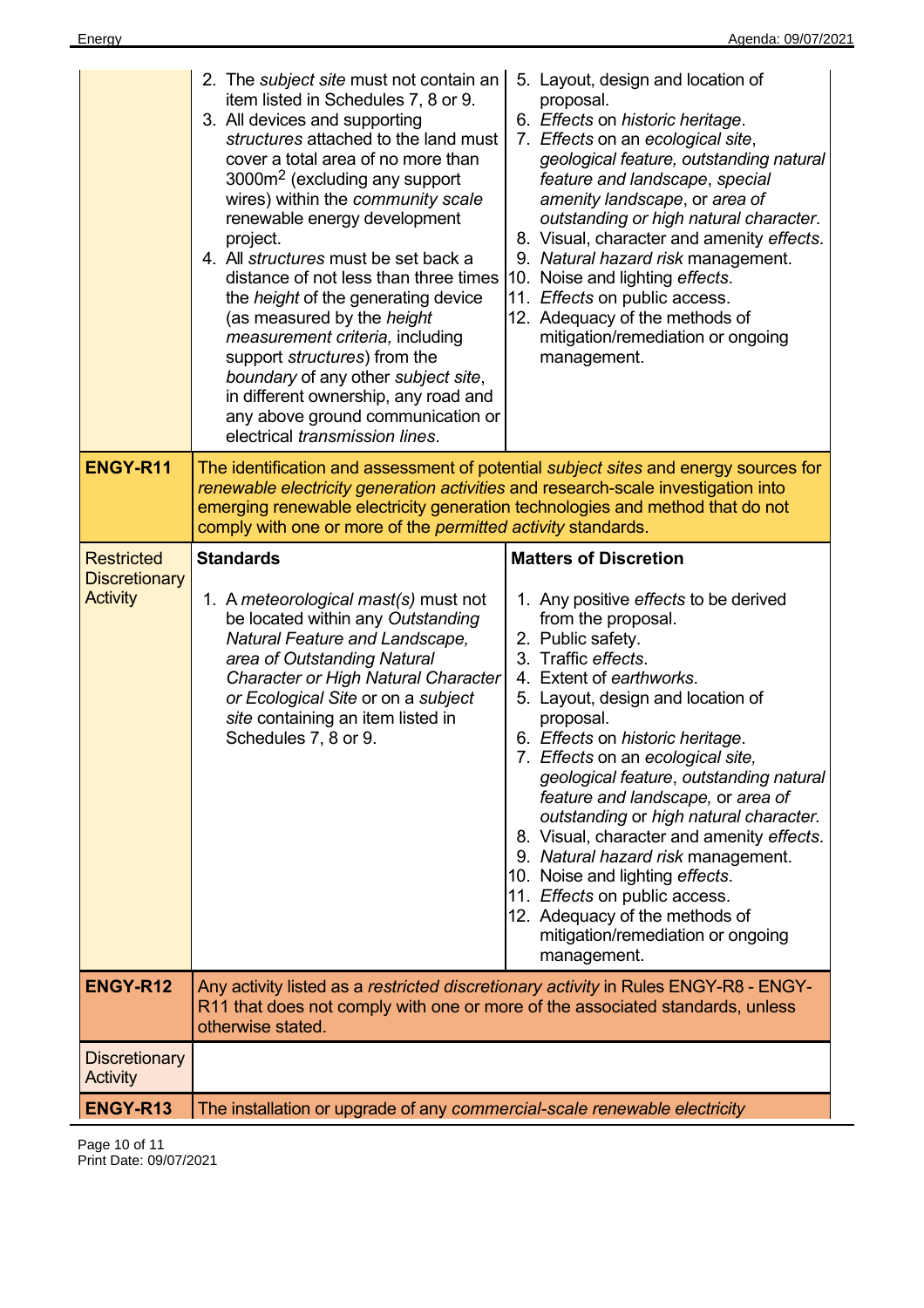|                                                              | 2. The subject site must not contain an<br>item listed in Schedules 7, 8 or 9.<br>3. All devices and supporting<br>structures attached to the land must<br>cover a total area of no more than<br>3000m <sup>2</sup> (excluding any support<br>wires) within the community scale<br>renewable energy development<br>project.<br>4. All structures must be set back a<br>distance of not less than three times<br>the <i>height</i> of the generating device<br>(as measured by the height<br>measurement criteria, including<br>support <i>structures</i> ) from the<br>boundary of any other subject site,<br>in different ownership, any road and<br>any above ground communication or<br>electrical transmission lines. | 5. Layout, design and location of<br>proposal.<br>6. Effects on historic heritage.<br>7. Effects on an ecological site,<br>geological feature, outstanding natural<br>feature and landscape, special<br>amenity landscape, or area of<br>outstanding or high natural character.<br>8. Visual, character and amenity effects.<br>9. Natural hazard risk management.<br>10. Noise and lighting effects.<br>11. Effects on public access.<br>12. Adequacy of the methods of<br>mitigation/remediation or ongoing<br>management.                                                                                                                                                 |
|--------------------------------------------------------------|---------------------------------------------------------------------------------------------------------------------------------------------------------------------------------------------------------------------------------------------------------------------------------------------------------------------------------------------------------------------------------------------------------------------------------------------------------------------------------------------------------------------------------------------------------------------------------------------------------------------------------------------------------------------------------------------------------------------------|------------------------------------------------------------------------------------------------------------------------------------------------------------------------------------------------------------------------------------------------------------------------------------------------------------------------------------------------------------------------------------------------------------------------------------------------------------------------------------------------------------------------------------------------------------------------------------------------------------------------------------------------------------------------------|
| <b>ENGY-R11</b>                                              | renewable electricity generation activities and research-scale investigation into<br>emerging renewable electricity generation technologies and method that do not<br>comply with one or more of the permitted activity standards.                                                                                                                                                                                                                                                                                                                                                                                                                                                                                        | The identification and assessment of potential <i>subject sites</i> and energy sources for                                                                                                                                                                                                                                                                                                                                                                                                                                                                                                                                                                                   |
| <b>Restricted</b><br><b>Discretionary</b><br><b>Activity</b> | <b>Standards</b><br>1. A meteorological mast(s) must not<br>be located within any Outstanding<br>Natural Feature and Landscape,<br>area of Outstanding Natural<br><b>Character or High Natural Character</b><br>or Ecological Site or on a subject<br>site containing an item listed in<br>Schedules 7, 8 or 9.                                                                                                                                                                                                                                                                                                                                                                                                           | <b>Matters of Discretion</b><br>1. Any positive effects to be derived<br>from the proposal.<br>2. Public safety.<br>3. Traffic effects.<br>4. Extent of earthworks.<br>5. Layout, design and location of<br>proposal.<br>6. Effects on historic heritage.<br>7. Effects on an ecological site,<br>geological feature, outstanding natural<br>feature and landscape, or area of<br>outstanding or high natural character.<br>8. Visual, character and amenity effects.<br>9. Natural hazard risk management.<br>10. Noise and lighting effects.<br>11. <i>Effects</i> on public access.<br>12. Adequacy of the methods of<br>mitigation/remediation or ongoing<br>management. |
| ENGY-R12                                                     | R11 that does not comply with one or more of the associated standards, unless<br>otherwise stated.                                                                                                                                                                                                                                                                                                                                                                                                                                                                                                                                                                                                                        | Any activity listed as a restricted discretionary activity in Rules ENGY-R8 - ENGY-                                                                                                                                                                                                                                                                                                                                                                                                                                                                                                                                                                                          |
| <b>Discretionary</b><br>Activity                             |                                                                                                                                                                                                                                                                                                                                                                                                                                                                                                                                                                                                                                                                                                                           |                                                                                                                                                                                                                                                                                                                                                                                                                                                                                                                                                                                                                                                                              |
| ENGY-R13                                                     | The installation or upgrade of any commercial-scale renewable electricity                                                                                                                                                                                                                                                                                                                                                                                                                                                                                                                                                                                                                                                 |                                                                                                                                                                                                                                                                                                                                                                                                                                                                                                                                                                                                                                                                              |

Page 10 of 11 Print Date: 09/07/2021

 $\overline{a}$